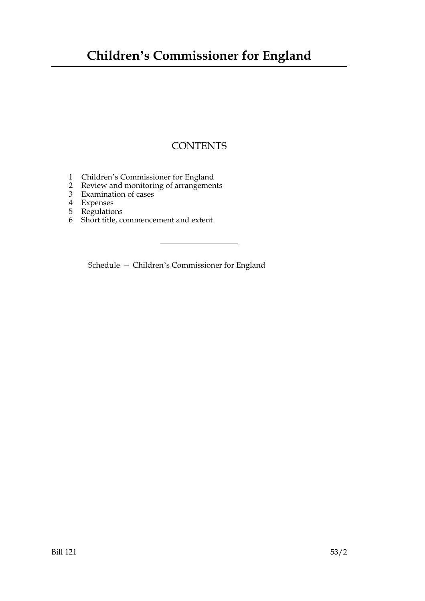## **Children's Commissioner for England**

## **CONTENTS**

- 1 Children's Commissioner for England
- 2 Review and monitoring of arrangements
- 3 Examination of cases
- 4 Expenses
- 5 Regulations
- 6 Short title, commencement and extent

Schedule — Children's Commissioner for England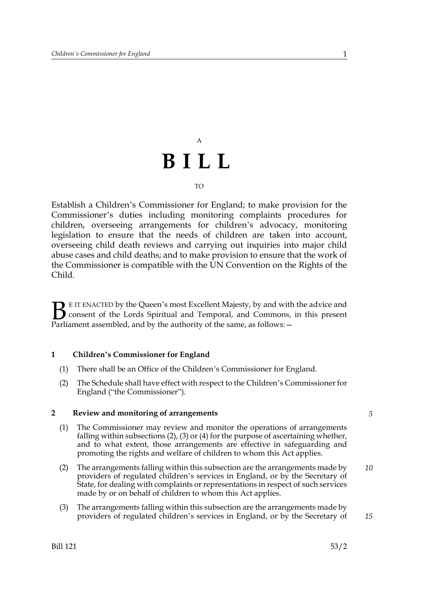# A **BILL**

#### TO

Establish a Children's Commissioner for England; to make provision for the Commissioner's duties including monitoring complaints procedures for children, overseeing arrangements for children's advocacy, monitoring legislation to ensure that the needs of children are taken into account, overseeing child death reviews and carrying out inquiries into major child abuse cases and child deaths; and to make provision to ensure that the work of the Commissioner is compatible with the UN Convention on the Rights of the Child.

E IT ENACTED by the Queen's most Excellent Majesty, by and with the advice and consent of the Lords Spiritual and Temporal, and Commons, in this present Parliament assembled, and by the authority of the same, as follows:  $\mathbf{B}_{\text{rel}}$ 

#### **1 Children's Commissioner for England**

- (1) There shall be an Office of the Children's Commissioner for England.
- (2) The Schedule shall have effect with respect to the Children's Commissioner for England ("the Commissioner").

#### **2 Review and monitoring of arrangements**

- (1) The Commissioner may review and monitor the operations of arrangements falling within subsections (2), (3) or (4) for the purpose of ascertaining whether, and to what extent, those arrangements are effective in safeguarding and promoting the rights and welfare of children to whom this Act applies.
- (2) The arrangements falling within this subsection are the arrangements made by providers of regulated children's services in England, or by the Secretary of State, for dealing with complaints or representations in respect of such services made by or on behalf of children to whom this Act applies. *10*
- (3) The arrangements falling within this subsection are the arrangements made by providers of regulated children's services in England, or by the Secretary of

*5*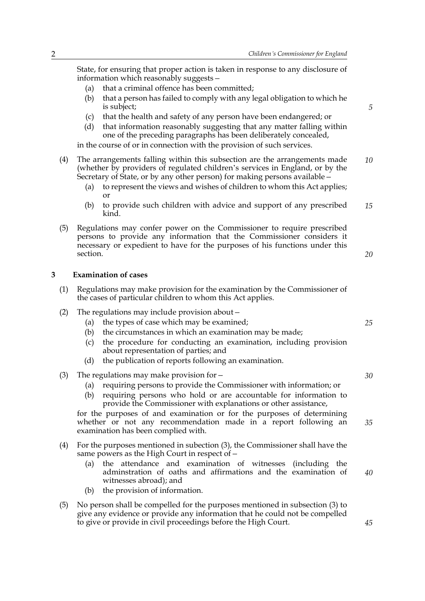State, for ensuring that proper action is taken in response to any disclosure of information which reasonably suggests*—*

- (a) that a criminal offence has been committed;
- (b) that a person has failed to comply with any legal obligation to which he is subject;
- (c) that the health and safety of any person have been endangered; or
- (d) that information reasonably suggesting that any matter falling within one of the preceding paragraphs has been deliberately concealed,

in the course of or in connection with the provision of such services.

- (4) The arrangements falling within this subsection are the arrangements made (whether by providers of regulated children's services in England, or by the Secretary of State, or by any other person) for making persons available*— 10*
	- (a) to represent the views and wishes of children to whom this Act applies; or
	- (b) to provide such children with advice and support of any prescribed kind. *15*
- (5) Regulations may confer power on the Commissioner to require prescribed persons to provide any information that the Commissioner considers it necessary or expedient to have for the purposes of his functions under this section.

#### **3 Examination of cases**

- (1) Regulations may make provision for the examination by the Commissioner of the cases of particular children to whom this Act applies.
- (2) The regulations may include provision about*—*
	- (a) the types of case which may be examined;
	- (b) the circumstances in which an examination may be made;
	- (c) the procedure for conducting an examination, including provision about representation of parties; and
	- (d) the publication of reports following an examination.
- (3) The regulations may make provision for*—*
	- (a) requiring persons to provide the Commissioner with information; or
	- (b) requiring persons who hold or are accountable for information to provide the Commissioner with explanations or other assistance,

for the purposes of and examination or for the purposes of determining whether or not any recommendation made in a report following an examination has been complied with.

- (4) For the purposes mentioned in subection (3), the Commissioner shall have the same powers as the High Court in respect of*—*
	- (a) the attendance and examination of witnesses (including the adminstration of oaths and affirmations and the examination of witnesses abroad); and *40*
	- (b) the provision of information.
- (5) No person shall be compelled for the purposes mentioned in subsection (3) to give any evidence or provide any information that he could not be compelled to give or provide in civil proceedings before the High Court.

*25*

*20*

*5*

*35*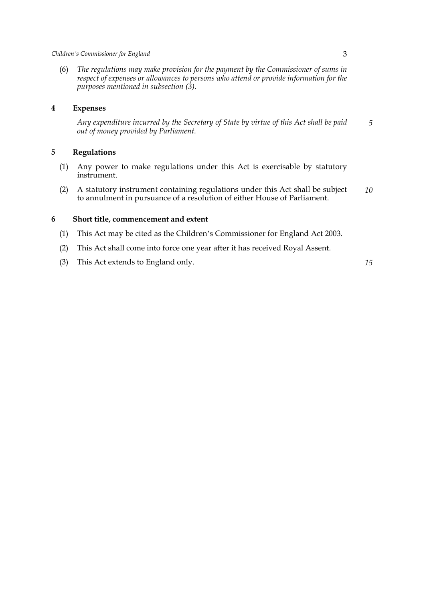(6) *The regulations may make provision for the payment by the Commissioner of sums in respect of expenses or allowances to persons who attend or provide information for the purposes mentioned in subsection (3).*

#### **4 Expenses**

*Any expenditure incurred by the Secretary of State by virtue of this Act shall be paid out of money provided by Parliament. 5*

#### **5 Regulations**

- (1) Any power to make regulations under this Act is exercisable by statutory instrument.
- (2) A statutory instrument containing regulations under this Act shall be subject to annulment in pursuance of a resolution of either House of Parliament. *10*

#### **6 Short title, commencement and extent**

- (1) This Act may be cited as the Children's Commissioner for England Act 2003.
- (2) This Act shall come into force one year after it has received Royal Assent.
- (3) This Act extends to England only.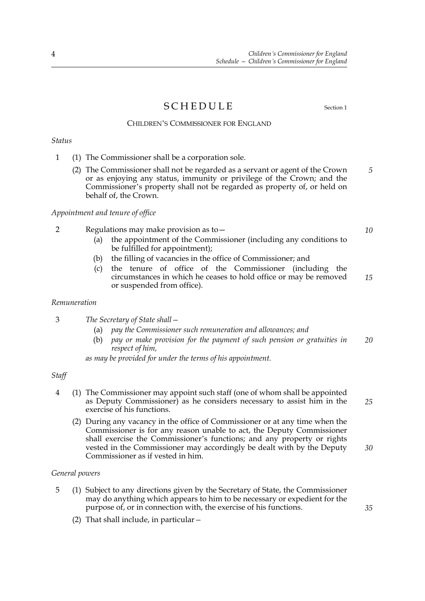### SCHEDULE Section 1

#### CHILDREN'S COMMISSIONER FOR ENGLAND

#### *Status*

- 1 (1) The Commissioner shall be a corporation sole.
	- (2) The Commissioner shall not be regarded as a servant or agent of the Crown or as enjoying any status, immunity or privilege of the Crown; and the Commissioner's property shall not be regarded as property of, or held on behalf of, the Crown. *5*

#### *Appointment and tenure of office*

- 2 Regulations may make provision as to—
	- (a) the appointment of the Commissioner (including any conditions to be fulfilled for appointment);
	- (b) the filling of vacancies in the office of Commissioner; and
	- (c) the tenure of office of the Commissioner (including the circumstances in which he ceases to hold office or may be removed or suspended from office). *15*

#### *Remuneration*

- 3 *The Secretary of State shall—*
	- (a) *pay the Commissioner such remuneration and allowances; and*
	- (b) *pay or make provision for the payment of such pension or gratuities in respect of him, 20*

*as may be provided for under the terms of his appointment.*

#### *Staff*

- 4 (1) The Commissioner may appoint such staff (one of whom shall be appointed as Deputy Commissioner) as he considers necessary to assist him in the exercise of his functions. *25*
	- (2) During any vacancy in the office of Commissioner or at any time when the Commissioner is for any reason unable to act, the Deputy Commissioner shall exercise the Commissioner's functions; and any property or rights vested in the Commissioner may accordingly be dealt with by the Deputy Commissioner as if vested in him.

#### *General powers*

- 5 (1) Subject to any directions given by the Secretary of State, the Commissioner may do anything which appears to him to be necessary or expedient for the purpose of, or in connection with, the exercise of his functions.
	- (2) That shall include, in particular*—*

*10*

*30*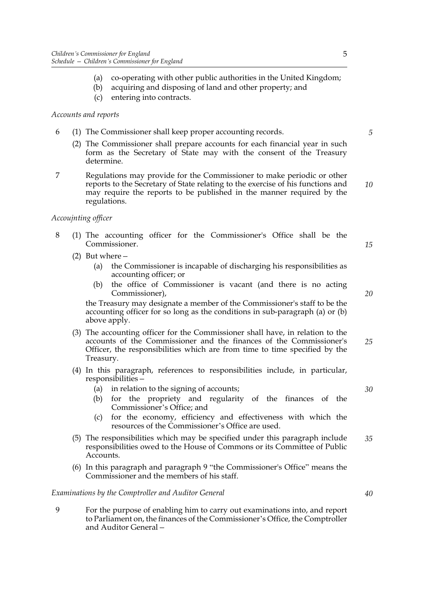- (a) co-operating with other public authorities in the United Kingdom;
- (b) acquiring and disposing of land and other property; and
- (c) entering into contracts.

#### *Accounts and reports*

- 6 (1) The Commissioner shall keep proper accounting records.
	- (2) The Commissioner shall prepare accounts for each financial year in such form as the Secretary of State may with the consent of the Treasury determine.
- 7 Regulations may provide for the Commissioner to make periodic or other reports to the Secretary of State relating to the exercise of his functions and may require the reports to be published in the manner required by the regulations.

#### *Accoujnting officer*

- 8 (1) The accounting officer for the Commissioner's Office shall be the Commissioner.
	- (2) But where*—*
		- (a) the Commissioner is incapable of discharging his responsibilities as accounting officer; or
		- (b) the office of Commissioner is vacant (and there is no acting Commissioner),

the Treasury may designate a member of the Commissioner's staff to be the accounting officer for so long as the conditions in sub-paragraph (a) or (b) above apply.

- (3) The accounting officer for the Commissioner shall have, in relation to the accounts of the Commissioner and the finances of the Commissioner's Officer, the responsibilities which are from time to time specified by the Treasury. *25*
- (4) In this paragraph, references to responsibilities include, in particular, responsibilities*—*
	- (a) in relation to the signing of accounts;
	- (b) for the propriety and regularity of the finances of the Commissioner's Office; and
	- (c) for the economy, efficiency and effectiveness with which the resources of the Commissioner's Office are used.
- (5) The responsibilities which may be specified under this paragraph include responsibilities owed to the House of Commons or its Committee of Public Accounts. *35*
- (6) In this paragraph and paragraph 9 "the Commissioner's Office" means the Commissioner and the members of his staff.

#### *Examinations by the Comptroller and Auditor General*

9 For the purpose of enabling him to carry out examinations into, and report to Parliament on, the finances of the Commissioner's Office, the Comptroller and Auditor General*—* *20*

*15*

*5*

*10*

*30*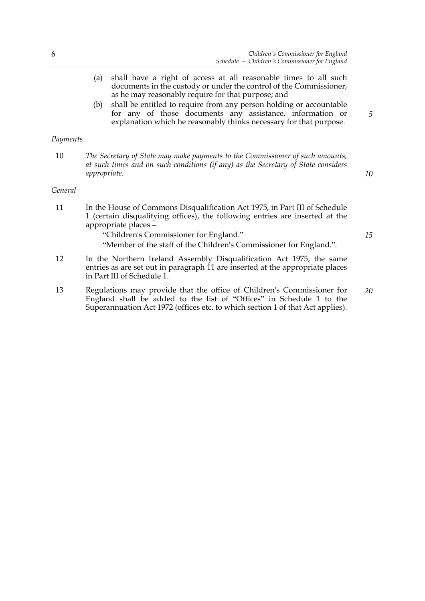- (a) shall have a right of access at all reasonable times to all such documents in the custody or under the control of the Commissioner, as he may reasonably require for that purpose; and
- (b) shall be entitled to require from any person holding or accountable for any of those documents any assistance, information or explanation which he reasonably thinks necessary for that purpose.

#### *Payments*

10 *The Secretary of State may make payments to the Commissioner of such amounts, at such times and on such conditions (if any) as the Secretary of State considers appropriate.*

#### *General*

11 In the House of Commons Disqualification Act 1975, in Part III of Schedule 1 (certain disqualifying offices), the following entries are inserted at the appropriate places*—*

"Children's Commissioner for England."

"Member of the staff of the Children's Commissioner for England.".

- 12 In the Northern Ireland Assembly Disqualification Act 1975, the same entries as are set out in paragraph 11 are inserted at the appropriate places in Part III of Schedule 1.
- 13 Regulations may provide that the office of Children's Commissioner for England shall be added to the list of "Offices" in Schedule 1 to the Superannuation Act 1972 (offices etc. to which section 1 of that Act applies). *20*

*5*

*10*